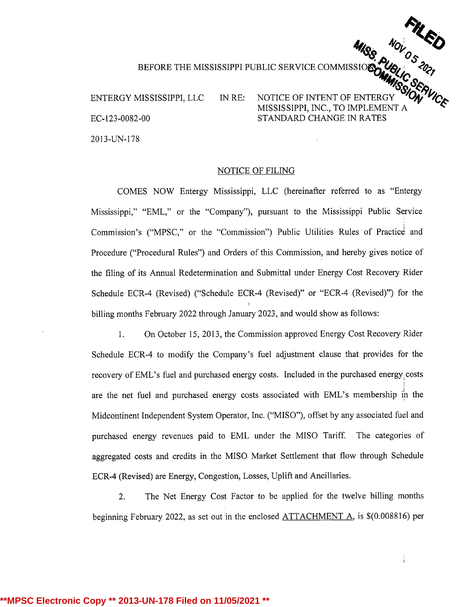ENTERGY MISSISSIPPI, LLC IN RE: NOTICE OF INTENT OF ENTERGY EC-123-0082-00 STANDARD CHANGE IN RATES 2013-UN-178

MISSION WORKER THE MISSISSIPPI PUBLIC SERVICE COMMISSION CONDUCTED AND SAID TO SERVICE MISSISSIPPI, INC., TO IMPLEMENT A

## NOTICE OF FILING

COMES NOW Entergy Mississippi, LLC (hereinafter referred to as "Entergy Mississippi," "EML," or the "Company"), pursuant to the Mississippi Public Service Commission's ("MPSC," or the "Commission") Public Utilities Rules of Practice and Procedure ("Procedural Rules") and Orders of this Commission, and hereby gives notice of the filing of its Annual Redetermination and Submittal under Energy Cost Recovery Rider Schedule ECR-4 (Revised) ("Schedule ECR-4 (Revised)" or "ECR-4 (Revised)") for the billing months February 2022 through January 2023, and would show as follows:

1. On October 15, 2013, the Commission approved Energy Cost Recovery Rider Schedule ECR-4 to modify the Company's fuel adjustment clause that provides for the recovery of EML's fuel and purchased energy costs. Included in the purchased energy costs are the net fuel and purchased energy costs associated with EML's membership in the Midcontinent Independent System Operator, Inc. ("MISO"), offset by any associated fuel and purchased energy revenues paid to EML under the MISO Tariff. The categories of aggregated costs and credits in the MISO Market Settlement that flow through Schedule ECR-4 (Revised) are Energy, Congestion, Losses, Uplift and Ancillaries.

2. The Net Energy Cost Factor to be applied for the twelve billing months beginning February 2022, as set out in the enclosed ATTACHMENT A, is \$(0.008816) per

Î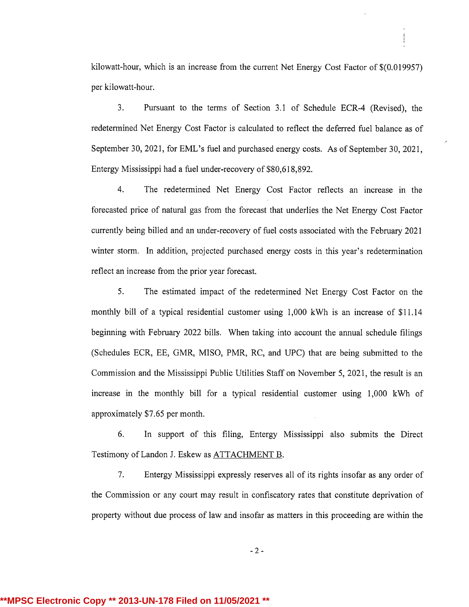kilowatt-hour, which is an increase from the current Net Energy Cost Factor of \$(0.019957) per kilowatt-hour.

3. Pursuant to the terms of Section 3.1 of Schedule ECR-4 (Revised), the redetermined Net Energy Cost Factor is calculated to reflect the deferred fuel balance as of September 30, 2021, for EML's fuel and purchased energy costs. As of September 30, 2021, Entergy Mississippi had <sup>a</sup> fuel under-recovery of \$80,618,892.

4. The redetermined Net Energy Cost Factor reflects an increase in the forecasted price of natural gas from the forecast that underlies the Net Energy Cost Factor currently being billed and an under-recovery of fuel costs associated with the February 2021 winter storm. In addition, projected purchased energy costs in this year's redetermination reflect an increase from the prior year forecast.

5. The estimated impact of the redetermined Net Energy Cost Factor on the monthly bill of <sup>a</sup> typical residential customer using 1,000 kWh is an increase of \$11.14 beginning with February 2022 bills. When taking into account the annual schedule filings (Schedules ECR, EE, GMR, MISO, PMR, RC, and UPC) that are being submitted to the Commission and the Mississippi Public Utilities Staff on November 5, 2021, the result is an increase in the monthly bill for <sup>a</sup> typical residential customer using 1,000 kWh of approximately\$7.65 per month.

6. In support of this filing, Entergy Mississippi also submits the Direct Testimony of Landon J. Eskew as ATTACHMENT B.

7. Entergy Mississippi expressly reserves all of its rights insofar as any order of the Commission or any court may result in confiscatory rates that constitute deprivation of property without due process of law and insofar as matters in this proceeding are within the

- 2 -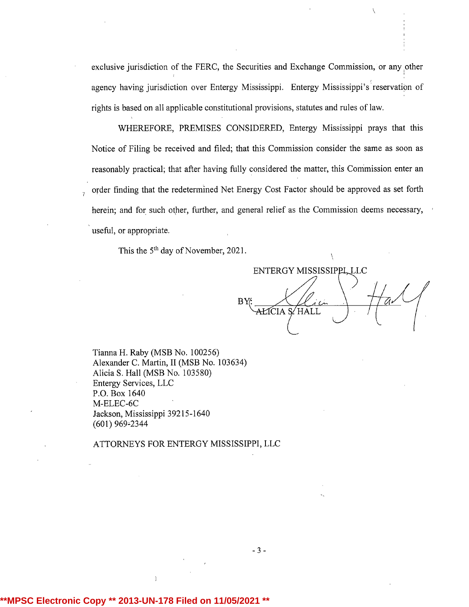exclusive jurisdiction of the FERC, the Securities and Exchange Commission, or any other agency having jurisdiction over Entergy Mississippi. Entergy Mississippi's reservation of rights is based on all applicable constitutional provisions, statutes and rules of law.

WHEREFORE, PREMISES CONSIDERED, Entergy Mississippi prays that this Notice of Filing be received and filed; that this Commission consider the same as soon as reasonably practical; that after having fully considered the matter, this Commission enter an order finding that the redetermined Net Energy Cost Factor should be approved as set forth herein; and for such other, further, and general relief as the Commission deems necessary, useful, or appropriate.

This the 5<sup>th</sup> day of November, 2021.

BY ENTERGY MISSISSIPPL LLC AŁICIA S⁄ HALL

Tianna H. Raby (MSB No. 100256) Alexander C. Martin, II (MSB No. 103634) Alicia S. Hall (MSB No. 103580) Entergy Services, LLC P.O. Box 1640 M-ELEC-6C Jackson, Mississippi 39215-1640 (601) 969-2344

ATTORNEYS FOR ENTERGY MISSISSIPPI, LLC

## **\*\*MPSC Electronic Copy \*\* 2013-UN-178 Filed on 11/05/2021 \*\***